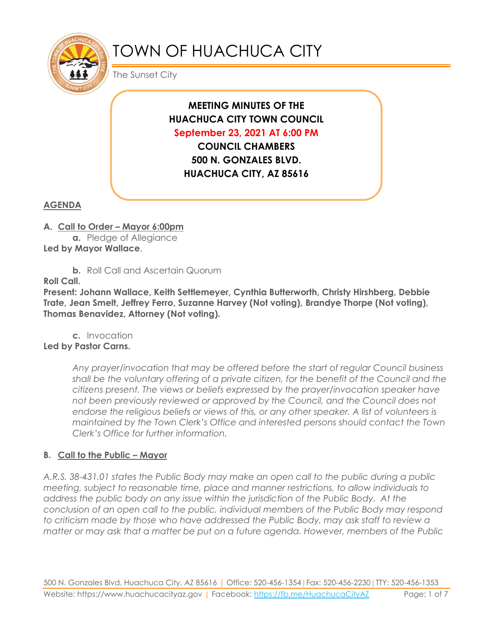

# TOWN OF HUACHUCA CITY

The Sunset City

**MEETING MINUTES OF THE HUACHUCA CITY TOWN COUNCIL September 23, 2021 AT 6:00 PM COUNCIL CHAMBERS**

**500 N. GONZALES BLVD. HUACHUCA CITY, AZ 85616**

# **AGENDA**

**A. Call to Order – Mayor 6:00pm**

**a.** Pledge of Allegiance **Led by Mayor Wallace**.

**b.** Roll Call and Ascertain Quorum

**Roll Call.**

**Present: Johann Wallace, Keith Settlemeyer, Cynthia Butterworth, Christy Hirshberg, Debbie Trate, Jean Smelt, Jeffrey Ferro, Suzanne Harvey (Not voting), Brandye Thorpe (Not voting), Thomas Benavidez, Attorney (Not voting).**

**c.** Invocation **Led by Pastor Carns.**

> *Any prayer/invocation that may be offered before the start of regular Council business shall be the voluntary offering of a private citizen, for the benefit of the Council and the citizens present. The views or beliefs expressed by the prayer/invocation speaker have not been previously reviewed or approved by the Council, and the Council does not endorse the religious beliefs or views of this, or any other speaker. A list of volunteers is maintained by the Town Clerk's Office and interested persons should contact the Town Clerk's Office for further information.*

## **B. Call to the Public – Mayor**

*A.R.S. 38-431.01 states the Public Body may make an open call to the public during a public meeting, subject to reasonable time, place and manner restrictions, to allow individuals to address the public body on any issue within the jurisdiction of the Public Body. At the conclusion of an open call to the public, individual members of the Public Body may respond to criticism made by those who have addressed the Public Body, may ask staff to review a matter or may ask that a matter be put on a future agenda. However, members of the Public*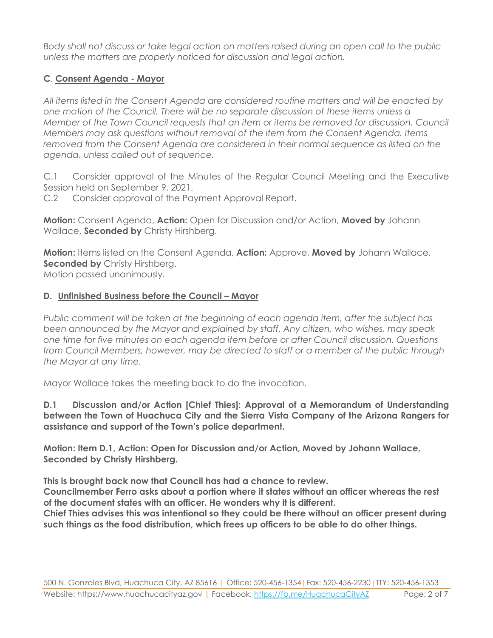*Body shall not discuss or take legal action on matters raised during an open call to the public unless the matters are properly noticed for discussion and legal action.*

# **C***.* **Consent Agenda - Mayor**

*All items listed in the Consent Agenda are considered routine matters and will be enacted by one motion of the Council. There will be no separate discussion of these items unless a Member of the Town Council requests that an item or items be removed for discussion. Council Members may ask questions without removal of the item from the Consent Agenda. Items removed from the Consent Agenda are considered in their normal sequence as listed on the agenda, unless called out of sequence.*

C.1 Consider approval of the Minutes of the Regular Council Meeting and the Executive Session held on September 9, 2021.

C.2 Consider approval of the Payment Approval Report.

**Motion:** Consent Agenda, **Action:** Open for Discussion and/or Action, **Moved by** Johann Wallace, **Seconded by** Christy Hirshberg.

**Motion:** Items listed on the Consent Agenda, **Action:** Approve, **Moved by** Johann Wallace, **Seconded by** Christy Hirshberg. Motion passed unanimously.

## **D. Unfinished Business before the Council – Mayor**

*Public comment will be taken at the beginning of each agenda item, after the subject has been announced by the Mayor and explained by staff. Any citizen, who wishes, may speak one time for five minutes on each agenda item before or after Council discussion. Questions from Council Members, however, may be directed to staff or a member of the public through the Mayor at any time.*

Mayor Wallace takes the meeting back to do the invocation.

**D.1 Discussion and/or Action [Chief Thies]: Approval of a Memorandum of Understanding between the Town of Huachuca City and the Sierra Vista Company of the Arizona Rangers for assistance and support of the Town's police department.**

**Motion: Item D.1, Action: Open for Discussion and/or Action, Moved by Johann Wallace, Seconded by Christy Hirshberg.**

**This is brought back now that Council has had a chance to review. Councilmember Ferro asks about a portion where it states without an officer whereas the rest** 

**of the document states with an officer. He wonders why it is different.**

**Chief Thies advises this was intentional so they could be there without an officer present during such things as the food distribution, which frees up officers to be able to do other things.**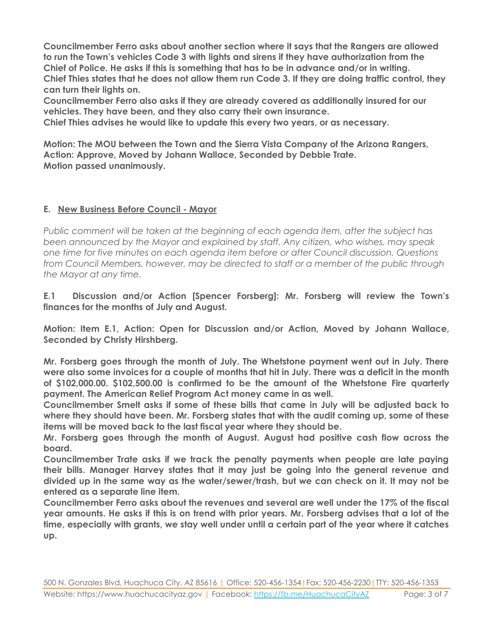**Councilmember Ferro asks about another section where it says that the Rangers are allowed to run the Town's vehicles Code 3 with lights and sirens if they have authorization from the Chief of Police. He asks if this is something that has to be in advance and/or in writing. Chief Thies states that he does not allow them run Code 3. If they are doing traffic control, they can turn their lights on.** 

**Councilmember Ferro also asks if they are already covered as additionally insured for our vehicles. They have been, and they also carry their own insurance.** 

**Chief Thies advises he would like to update this every two years, or as necessary.**

**Motion: The MOU between the Town and the Sierra Vista Company of the Arizona Rangers, Action: Approve, Moved by Johann Wallace, Seconded by Debbie Trate. Motion passed unanimously.**

#### **E. New Business Before Council - Mayor**

*Public comment will be taken at the beginning of each agenda item, after the subject has been announced by the Mayor and explained by staff. Any citizen, who wishes, may speak one time for five minutes on each agenda item before or after Council discussion. Questions from Council Members, however, may be directed to staff or a member of the public through the Mayor at any time.*

**E.1 Discussion and/or Action [Spencer Forsberg]: Mr. Forsberg will review the Town's finances for the months of July and August.**

**Motion: Item E.1, Action: Open for Discussion and/or Action, Moved by Johann Wallace, Seconded by Christy Hirshberg.**

**Mr. Forsberg goes through the month of July. The Whetstone payment went out in July. There were also some invoices for a couple of months that hit in July. There was a deficit in the month of \$102,000.00. \$102,500.00 is confirmed to be the amount of the Whetstone Fire quarterly payment. The American Relief Program Act money came in as well.**

**Councilmember Smelt asks if some of these bills that came in July will be adjusted back to where they should have been. Mr. Forsberg states that with the audit coming up, some of these items will be moved back to the last fiscal year where they should be.**

**Mr. Forsberg goes through the month of August. August had positive cash flow across the board.**

**Councilmember Trate asks if we track the penalty payments when people are late paying their bills. Manager Harvey states that it may just be going into the general revenue and divided up in the same way as the water/sewer/trash, but we can check on it. It may not be entered as a separate line item.**

**Councilmember Ferro asks about the revenues and several are well under the 17% of the fiscal year amounts. He asks if this is on trend with prior years. Mr. Forsberg advises that a lot of the time, especially with grants, we stay well under until a certain part of the year where it catches up.**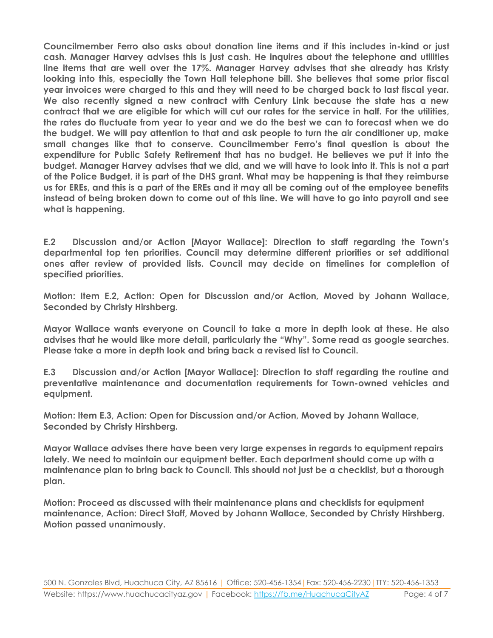**Councilmember Ferro also asks about donation line items and if this includes in-kind or just cash. Manager Harvey advises this is just cash. He inquires about the telephone and utilities line items that are well over the 17%. Manager Harvey advises that she already has Kristy looking into this, especially the Town Hall telephone bill. She believes that some prior fiscal year invoices were charged to this and they will need to be charged back to last fiscal year. We also recently signed a new contract with Century Link because the state has a new contract that we are eligible for which will cut our rates for the service in half. For the utilities, the rates do fluctuate from year to year and we do the best we can to forecast when we do the budget. We will pay attention to that and ask people to turn the air conditioner up, make small changes like that to conserve. Councilmember Ferro's final question is about the expenditure for Public Safety Retirement that has no budget. He believes we put it into the budget. Manager Harvey advises that we did, and we will have to look into it. This is not a part of the Police Budget, it is part of the DHS grant. What may be happening is that they reimburse us for EREs, and this is a part of the EREs and it may all be coming out of the employee benefits instead of being broken down to come out of this line. We will have to go into payroll and see what is happening.**

**E.2 Discussion and/or Action [Mayor Wallace]: Direction to staff regarding the Town's departmental top ten priorities. Council may determine different priorities or set additional ones after review of provided lists. Council may decide on timelines for completion of specified priorities.**

**Motion: Item E.2, Action: Open for Discussion and/or Action, Moved by Johann Wallace, Seconded by Christy Hirshberg.**

**Mayor Wallace wants everyone on Council to take a more in depth look at these. He also advises that he would like more detail, particularly the "Why". Some read as google searches. Please take a more in depth look and bring back a revised list to Council.**

**E.3 Discussion and/or Action [Mayor Wallace]: Direction to staff regarding the routine and preventative maintenance and documentation requirements for Town-owned vehicles and equipment.**

**Motion: Item E.3, Action: Open for Discussion and/or Action, Moved by Johann Wallace, Seconded by Christy Hirshberg.**

**Mayor Wallace advises there have been very large expenses in regards to equipment repairs lately. We need to maintain our equipment better. Each department should come up with a maintenance plan to bring back to Council. This should not just be a checklist, but a thorough plan.**

**Motion: Proceed as discussed with their maintenance plans and checklists for equipment maintenance, Action: Direct Staff, Moved by Johann Wallace, Seconded by Christy Hirshberg. Motion passed unanimously.**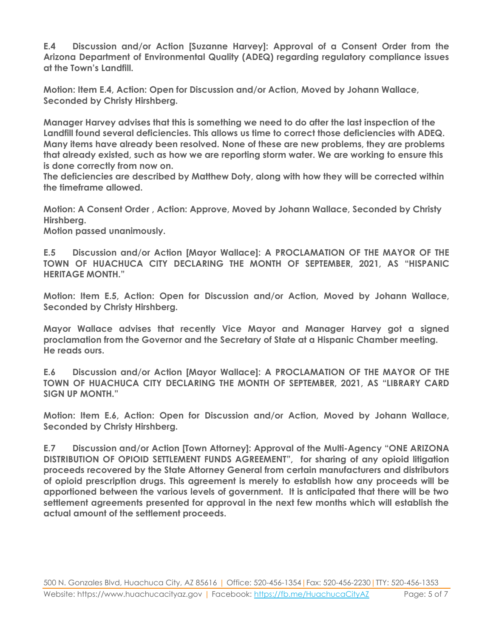**E.4 Discussion and/or Action [Suzanne Harvey]: Approval of a Consent Order from the Arizona Department of Environmental Quality (ADEQ) regarding regulatory compliance issues at the Town's Landfill.**

**Motion: Item E.4, Action: Open for Discussion and/or Action, Moved by Johann Wallace, Seconded by Christy Hirshberg.**

**Manager Harvey advises that this is something we need to do after the last inspection of the Landfill found several deficiencies. This allows us time to correct those deficiencies with ADEQ. Many items have already been resolved. None of these are new problems, they are problems that already existed, such as how we are reporting storm water. We are working to ensure this is done correctly from now on.** 

**The deficiencies are described by Matthew Doty, along with how they will be corrected within the timeframe allowed.** 

**Motion: A Consent Order , Action: Approve, Moved by Johann Wallace, Seconded by Christy Hirshberg.**

**Motion passed unanimously.**

**E.5 Discussion and/or Action [Mayor Wallace]: A PROCLAMATION OF THE MAYOR OF THE TOWN OF HUACHUCA CITY DECLARING THE MONTH OF SEPTEMBER, 2021, AS "HISPANIC HERITAGE MONTH."**

**Motion: Item E.5, Action: Open for Discussion and/or Action, Moved by Johann Wallace, Seconded by Christy Hirshberg.**

**Mayor Wallace advises that recently Vice Mayor and Manager Harvey got a signed proclamation from the Governor and the Secretary of State at a Hispanic Chamber meeting. He reads ours.**

**E.6 Discussion and/or Action [Mayor Wallace]: A PROCLAMATION OF THE MAYOR OF THE TOWN OF HUACHUCA CITY DECLARING THE MONTH OF SEPTEMBER, 2021, AS "LIBRARY CARD SIGN UP MONTH."**

**Motion: Item E.6, Action: Open for Discussion and/or Action, Moved by Johann Wallace, Seconded by Christy Hirshberg.**

**E.7 Discussion and/or Action [Town Attorney]: Approval of the Multi-Agency "ONE ARIZONA DISTRIBUTION OF OPIOID SETTLEMENT FUNDS AGREEMENT", for sharing of any opioid litigation proceeds recovered by the State Attorney General from certain manufacturers and distributors of opioid prescription drugs. This agreement is merely to establish how any proceeds will be apportioned between the various levels of government. It is anticipated that there will be two settlement agreements presented for approval in the next few months which will establish the actual amount of the settlement proceeds.**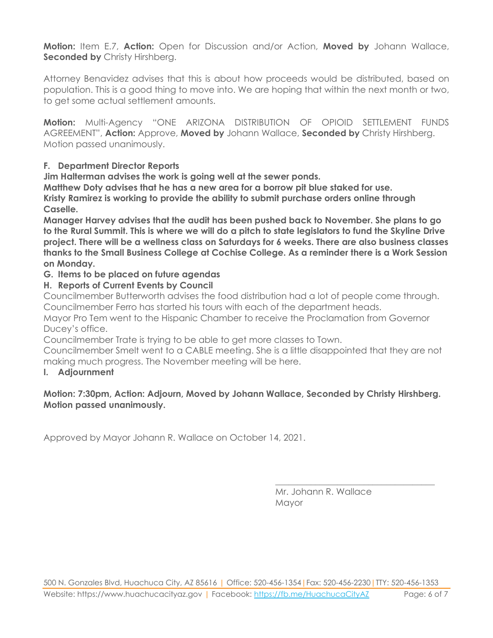**Motion:** Item E.7, **Action:** Open for Discussion and/or Action, **Moved by** Johann Wallace, **Seconded by Christy Hirshberg.** 

Attorney Benavidez advises that this is about how proceeds would be distributed, based on population. This is a good thing to move into. We are hoping that within the next month or two, to get some actual settlement amounts.

**Motion:** Multi-Agency "ONE ARIZONA DISTRIBUTION OF OPIOID SETTLEMENT FUNDS AGREEMENT", **Action:** Approve, **Moved by** Johann Wallace, **Seconded by** Christy Hirshberg. Motion passed unanimously.

## **F. Department Director Reports**

**Jim Halterman advises the work is going well at the sewer ponds.**

**Matthew Doty advises that he has a new area for a borrow pit blue staked for use.**

**Kristy Ramirez is working to provide the ability to submit purchase orders online through Caselle.**

**Manager Harvey advises that the audit has been pushed back to November. She plans to go to the Rural Summit. This is where we will do a pitch to state legislators to fund the Skyline Drive project. There will be a wellness class on Saturdays for 6 weeks. There are also business classes thanks to the Small Business College at Cochise College. As a reminder there is a Work Session on Monday.**

#### **G. Items to be placed on future agendas**

**H. Reports of Current Events by Council**

Councilmember Butterworth advises the food distribution had a lot of people come through. Councilmember Ferro has started his tours with each of the department heads.

Mayor Pro Tem went to the Hispanic Chamber to receive the Proclamation from Governor Ducey's office.

Councilmember Trate is trying to be able to get more classes to Town.

Councilmember Smelt went to a CABLE meeting. She is a little disappointed that they are not making much progress. The November meeting will be here.

#### **I. Adjournment**

## **Motion: 7:30pm, Action: Adjourn, Moved by Johann Wallace, Seconded by Christy Hirshberg. Motion passed unanimously.**

Approved by Mayor Johann R. Wallace on October 14, 2021.

Mr. Johann R. Wallace Mayor

\_\_\_\_\_\_\_\_\_\_\_\_\_\_\_\_\_\_\_\_\_\_\_\_\_\_\_\_\_\_\_\_\_\_\_\_